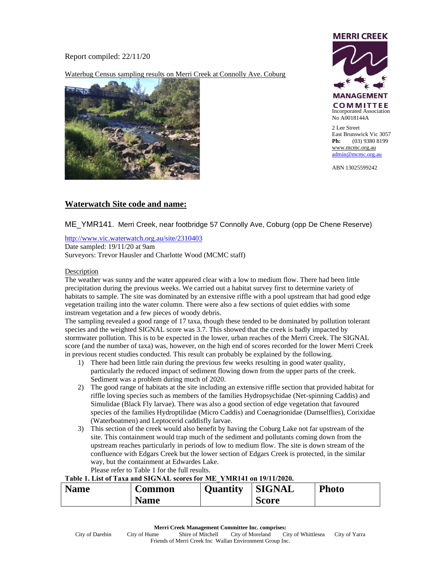Report compiled: 22/11/20

Waterbug Census sampling results on Merri Creek at Connolly Ave. Coburg





ABN 13025599242

# **Waterwatch Site code and name:**

## ME\_YMR141. Merri Creek, near footbridge 57 Connolly Ave, Coburg (opp De Chene Reserve)

<http://www.vic.waterwatch.org.au/site/2310403> Date sampled: 19/11/20 at 9am Surveyors: Trevor Hausler and Charlotte Wood (MCMC staff)

### Description

The weather was sunny and the water appeared clear with a low to medium flow. There had been little precipitation during the previous weeks. We carried out a habitat survey first to determine variety of habitats to sample. The site was dominated by an extensive riffle with a pool upstream that had good edge vegetation trailing into the water column. There were also a few sections of quiet eddies with some instream vegetation and a few pieces of woody debris.

The sampling revealed a good range of 17 taxa, though these tended to be dominated by pollution tolerant species and the weighted SIGNAL score was 3.7. This showed that the creek is badly impacted by stormwater pollution. This is to be expected in the lower, urban reaches of the Merri Creek. The SIGNAL score (and the number of taxa) was, however, on the high end of scores recorded for the lower Merri Creek in previous recent studies conducted. This result can probably be explained by the following.

- 1) There had been little rain during the previous few weeks resulting in good water quality, particularly the reduced impact of sediment flowing down from the upper parts of the creek. Sediment was a problem during much of 2020.
- 2) The good range of habitats at the site including an extensive riffle section that provided habitat for riffle loving species such as members of the families Hydropsychidae (Net-spinning Caddis) and Simulidae (Black Fly larvae). There was also a good section of edge vegetation that favoured species of the families Hydroptilidae (Micro Caddis) and Coenagrionidae (Damselflies), Corixidae (Waterboatmen) and Leptocerid caddisfly larvae.
- 3) This section of the creek would also benefit by having the Coburg Lake not far upstream of the site. This containment would trap much of the sediment and pollutants coming down from the upstream reaches particularly in periods of low to medium flow. The site is down stream of the confluence with Edgars Creek but the lower section of Edgars Creek is protected, in the similar way, but the containment at Edwardes Lake. Please refer to Table 1 for the full results.

### **Table 1. List of Taxa and SIGNAL scores for ME\_YMR141 on 19/11/2020.**

| <b>Name</b> | Common      | <b>Quantity</b> | <b>SIGNAL</b> | <b>Photo</b> |
|-------------|-------------|-----------------|---------------|--------------|
|             | <b>Name</b> |                 | <b>Score</b>  |              |

**Merri Creek Management Committee Inc. comprises:**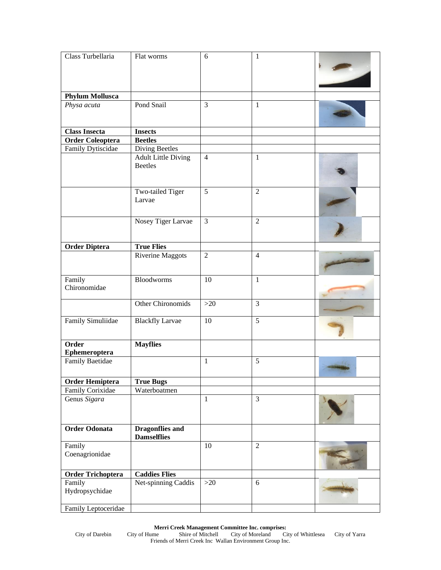| Class Turbellaria                          | Flat worms                                   | 6              | 1                |  |
|--------------------------------------------|----------------------------------------------|----------------|------------------|--|
|                                            |                                              |                |                  |  |
|                                            |                                              |                |                  |  |
|                                            |                                              |                |                  |  |
| <b>Phylum Mollusca</b>                     |                                              |                |                  |  |
| Physa acuta                                | Pond Snail                                   | $\overline{3}$ | $\mathbf{1}$     |  |
|                                            |                                              |                |                  |  |
| <b>Class Insecta</b>                       | <b>Insects</b>                               |                |                  |  |
| <b>Order Coleoptera</b>                    | <b>Beetles</b>                               |                |                  |  |
| <b>Family Dytiscidae</b>                   | <b>Diving Beetles</b>                        |                |                  |  |
|                                            | <b>Adult Little Diving</b>                   | $\overline{4}$ | $\mathbf{1}$     |  |
|                                            | <b>Beetles</b>                               |                |                  |  |
|                                            |                                              |                |                  |  |
|                                            |                                              |                |                  |  |
|                                            | Two-tailed Tiger<br>Larvae                   | 5              | $\overline{2}$   |  |
|                                            |                                              |                |                  |  |
|                                            |                                              |                |                  |  |
|                                            | Nosey Tiger Larvae                           | $\overline{3}$ | 2                |  |
|                                            |                                              |                |                  |  |
| <b>Order Diptera</b>                       | <b>True Flies</b>                            |                |                  |  |
|                                            | <b>Riverine Maggots</b>                      | $\overline{2}$ | $\overline{4}$   |  |
|                                            |                                              |                |                  |  |
|                                            |                                              |                |                  |  |
| Family                                     | <b>Bloodworms</b>                            | 10             | $\mathbf{1}$     |  |
| Chironomidae                               |                                              |                |                  |  |
|                                            | <b>Other Chironomids</b>                     | $>20$          | 3                |  |
|                                            |                                              |                |                  |  |
| Family Simuliidae                          | <b>Blackfly Larvae</b>                       | 10             | 5                |  |
|                                            |                                              |                |                  |  |
|                                            |                                              |                |                  |  |
| Order                                      | <b>Mayflies</b>                              |                |                  |  |
| Ephemeroptera<br><b>Family Baetidae</b>    |                                              | $\mathbf{1}$   | 5                |  |
|                                            |                                              |                |                  |  |
|                                            |                                              |                |                  |  |
| <b>Order Hemiptera</b><br>Family Corixidae | <b>True Bugs</b><br>Waterboatmen             |                |                  |  |
| Genus Sigara                               |                                              | $\mathbf{1}$   | $\overline{3}$   |  |
|                                            |                                              |                |                  |  |
|                                            |                                              |                |                  |  |
| Order Odonata                              |                                              |                |                  |  |
|                                            | <b>Dragonflies and</b><br><b>Damselflies</b> |                |                  |  |
| Family                                     |                                              | 10             | $\boldsymbol{2}$ |  |
| Coenagrionidae                             |                                              |                |                  |  |
|                                            |                                              |                |                  |  |
| <b>Order Trichoptera</b>                   | <b>Caddies Flies</b>                         |                |                  |  |
| Family                                     | Net-spinning Caddis                          | $>20$          | $6\,$            |  |
| Hydropsychidae                             |                                              |                |                  |  |
|                                            |                                              |                |                  |  |
| Family Leptoceridae                        |                                              |                |                  |  |

#### **Merri Creek Management Committee Inc. comprises:**